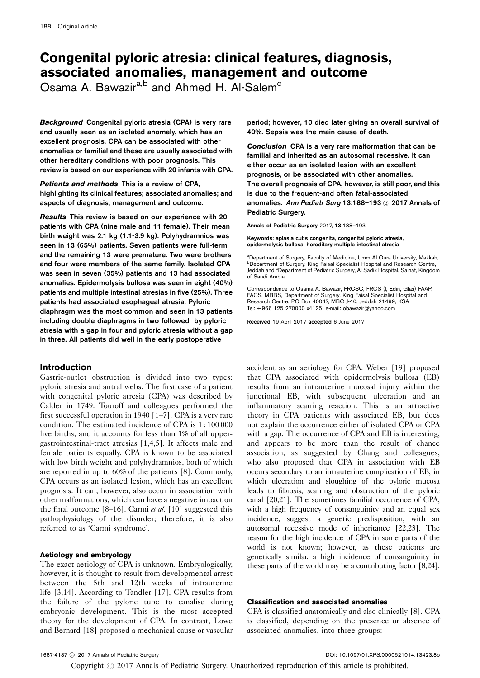# Congenital pyloric atresia: clinical features, diagnosis, associated anomalies, management and outcome

Osama A. Bawazir<sup>a,b</sup> and Ahmed H. Al-Salem<sup>c</sup>

Background Congenital pyloric atresia (CPA) is very rare and usually seen as an isolated anomaly, which has an excellent prognosis. CPA can be associated with other anomalies or familial and these are usually associated with other hereditary conditions with poor prognosis. This review is based on our experience with 20 infants with CPA.

Patients and methods This is a review of CPA, highlighting its clinical features; associated anomalies; and aspects of diagnosis, management and outcome.

Results This review is based on our experience with 20 patients with CPA (nine male and 11 female). Their mean birth weight was 2.1 kg (1.1-3.9 kg). Polyhydramnios was seen in 13 (65%) patients. Seven patients were full-term and the remaining 13 were premature. Two were brothers and four were members of the same family. Isolated CPA was seen in seven (35%) patients and 13 had associated anomalies. Epidermolysis bullosa was seen in eight (40%) patients and multiple intestinal atresias in five (25%). Three patients had associated esophageal atresia. Pyloric diaphragm was the most common and seen in 13 patients including double diaphragms in two followed by pyloric atresia with a gap in four and pyloric atresia without a gap in three. All patients did well in the early postoperative

# Introduction

Gastric-outlet obstruction is divided into two types: pyloric atresia and antral webs. The first case of a patient with congenital pyloric atresia (CPA) was described by Calder in 1749. Touroff and colleagues performed the first successful operation in 1940 [\[1–7](#page-4-0)]. CPA is a very rare condition. The estimated incidence of CPA is 1 : 100 000 live births, and it accounts for less than 1% of all uppergastrointestinal-tract atresias [\[1,4,5\]](#page-4-0). It affects male and female patients equally. CPA is known to be associated with low birth weight and polyhydramnios, both of which are reported in up to 60% of the patients [\[8](#page-4-0)]. Commonly, CPA occurs as an isolated lesion, which has an excellent prognosis. It can, however, also occur in association with other malformations, which can have a negative impact on the final outcome [\[8–16\]](#page-4-0). Carmi et al. [\[10](#page-4-0)] suggested this pathophysiology of the disorder; therefore, it is also referred to as 'Carmi syndrome'.

## Aetiology and embryology

The exact aetiology of CPA is unknown. Embryologically, however, it is thought to result from developmental arrest between the 5th and 12th weeks of intrauterine life [\[3,14](#page-4-0)]. According to Tandler [\[17](#page-4-0)], CPA results from the failure of the pyloric tube to canalise during embryonic development. This is the most accepted theory for the development of CPA. In contrast, Lowe and Bernard [\[18\]](#page-4-0) proposed a mechanical cause or vascular

period; however, 10 died later giving an overall survival of 40%. Sepsis was the main cause of death.

Conclusion CPA is a very rare malformation that can be familial and inherited as an autosomal recessive. It can either occur as an isolated lesion with an excellent prognosis, or be associated with other anomalies. The overall prognosis of CPA, however, is still poor, and this is due to the frequent-and often fatal-associated anomalies. Ann Pediatr Surg 13:188-193 @ 2017 Annals of Pediatric Surgery.

Annals of Pediatric Surgery 2017, 13:188–193

Keywords: aplasia cutis congenita, congenital pyloric atresia, epidermolysis bullosa, hereditary multiple intestinal atresia

<sup>a</sup>Department of Surgery, Faculty of Medicine, Umm Al Qura University, Makkah, **bDepartment of Surgery, King Faisal Specialist Hospital and Research Centre**, Jeddah and <sup>c</sup>Department of Pediatric Surgery, Al Sadik Hospital, Saihat, Kingdom of Saudi Arabia

Correspondence to Osama A. Bawazir, FRCSC, FRCS (I, Edin, Glas) FAAP, FACS, MBBS, Department of Surgery, King Faisal Specialist Hospital and Research Centre, PO Box 40047, MBC J-40, Jeddah 21499, KSA Tel: + 966 125 270000 x4125; e-mail: [obawazir@yahoo.com](mailto:obawazir@yahoo.com)

Received 19 April 2017 accepted 6 June 2017

accident as an aetiology for CPA. Weber [\[19\]](#page-4-0) proposed that CPA associated with epidermolysis bullosa (EB) results from an intrauterine mucosal injury within the junctional EB, with subsequent ulceration and an inflammatory scarring reaction. This is an attractive theory in CPA patients with associated EB, but does not explain the occurrence either of isolated CPA or CPA with a gap. The occurrence of CPA and EB is interesting, and appears to be more than the result of chance association, as suggested by Chang and colleagues, who also proposed that CPA in association with EB occurs secondary to an intrauterine complication of EB, in which ulceration and sloughing of the pyloric mucosa leads to fibrosis, scarring and obstruction of the pyloric canal [\[20,21\]](#page-4-0). The sometimes familial occurrence of CPA, with a high frequency of consanguinity and an equal sex incidence, suggest a genetic predisposition, with an autosomal recessive mode of inheritance [\[22,23\]](#page-4-0). The reason for the high incidence of CPA in some parts of the world is not known; however, as these patients are genetically similar, a high incidence of consanguinity in these parts of the world may be a contributing factor [\[8,24](#page-4-0)].

## Classification and associated anomalies

CPA is classified anatomically and also clinically [\[8\]](#page-4-0). CPA is classified, depending on the presence or absence of associated anomalies, into three groups:

Copyright © 2017 Annals of Pediatric Surgery. Unauthorized reproduction of this article is prohibited.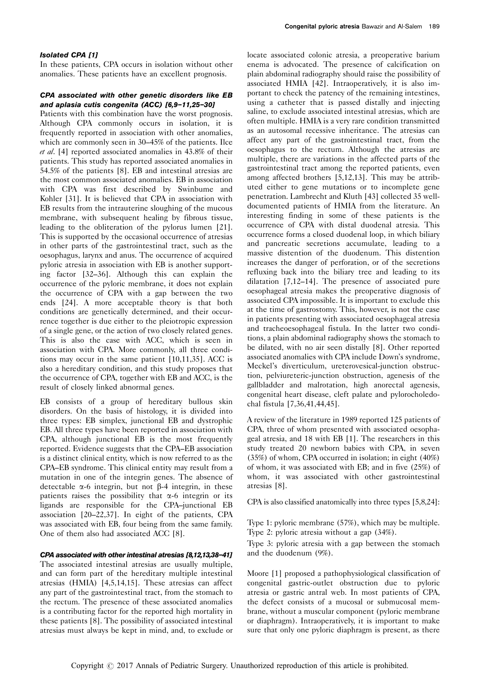## Isolated CPA [\[1](#page-4-0)]

In these patients, CPA occurs in isolation without other anomalies. These patients have an excellent prognosis.

## CPA associated with other genetic disorders like EB and aplasia cutis congenita (ACC) [\[6,9–11,25–30](#page-4-0)]

Patients with this combination have the worst prognosis. Although CPA commonly occurs in isolation, it is frequently reported in association with other anomalies, which are commonly seen in 30–45% of the patients. Ilce et al. [\[4\]](#page-4-0) reported associated anomalies in 43.8% of their patients. This study has reported associated anomalies in 54.5% of the patients [\[8\]](#page-4-0). EB and intestinal atresias are the most common associated anomalies. EB in association with CPA was first described by Swinbume and Kohler [\[31\]](#page-5-0). It is believed that CPA in association with EB results from the intrauterine sloughing of the mucous membrane, with subsequent healing by fibrous tissue, leading to the obliteration of the pylorus lumen [\[21](#page-4-0)]. This is supported by the occasional occurrence of atresias in other parts of the gastrointestinal tract, such as the oesophagus, larynx and anus. The occurrence of acquired pyloric atresia in association with EB is another supporting factor [\[32–36\]](#page-5-0). Although this can explain the occurrence of the pyloric membrane, it does not explain the occurrence of CPA with a gap between the two ends [\[24](#page-4-0)]. A more acceptable theory is that both conditions are genetically determined, and their occurrence together is due either to the pleiotropic expression of a single gene, or the action of two closely related genes. This is also the case with ACC, which is seen in association with CPA. More commonly, all three conditions may occur in the same patient [\[10,11,35\]](#page-4-0). ACC is also a hereditary condition, and this study proposes that the occurrence of CPA, together with EB and ACC, is the result of closely linked abnormal genes.

EB consists of a group of hereditary bullous skin disorders. On the basis of histology, it is divided into three types: EB simplex, junctional EB and dystrophic EB. All three types have been reported in association with CPA, although junctional EB is the most frequently reported. Evidence suggests that the CPA–EB association is a distinct clinical entity, which is now referred to as the CPA–EB syndrome. This clinical entity may result from a mutation in one of the integrin genes. The absence of detectable  $\alpha$ -6 integrin, but not  $\beta$ -4 integrin, in these patients raises the possibility that  $\alpha$ -6 integrin or its ligands are responsible for the CPA–junctional EB association [\[20–22,37](#page-4-0)]. In eight of the patients, CPA was associated with EB, four being from the same family. One of them also had associated ACC [\[8\]](#page-4-0).

#### CPA associated with other intestinal atresias [\[8,12,13,38–41](#page-4-0)]

The associated intestinal atresias are usually multiple, and can form part of the hereditary multiple intestinal atresias (HMIA) [\[4,5,14,15](#page-4-0)]. These atresias can affect any part of the gastrointestinal tract, from the stomach to the rectum. The presence of these associated anomalies is a contributing factor for the reported high mortality in these patients [\[8](#page-4-0)]. The possibility of associated intestinal atresias must always be kept in mind, and, to exclude or

locate associated colonic atresia, a preoperative barium enema is advocated. The presence of calcification on plain abdominal radiography should raise the possibility of associated HMIA [\[42\]](#page-5-0). Intraoperatively, it is also important to check the patency of the remaining intestines, using a catheter that is passed distally and injecting saline, to exclude associated intestinal atresias, which are often multiple. HMIA is a very rare condition transmitted as an autosomal recessive inheritance. The atresias can affect any part of the gastrointestinal tract, from the oesophagus to the rectum. Although the atresias are multiple, there are variations in the affected parts of the gastrointestinal tract among the reported patients, even among affected brothers [\[5,12,13](#page-4-0)]. This may be attributed either to gene mutations or to incomplete gene penetration. Lambrecht and Kluth [\[43\]](#page-5-0) collected 35 welldocumented patients of HMIA from the literature. An interesting finding in some of these patients is the occurrence of CPA with distal duodenal atresia. This occurrence forms a closed duodenal loop, in which biliary and pancreatic secretions accumulate, leading to a massive distention of the duodenum. This distention increases the danger of perforation, or of the secretions refluxing back into the biliary tree and leading to its dilatation [\[7,12–14](#page-4-0)]. The presence of associated pure oesophageal atresia makes the preoperative diagnosis of associated CPA impossible. It is important to exclude this at the time of gastrostomy. This, however, is not the case in patients presenting with associated oesophageal atresia and tracheoesophageal fistula. In the latter two conditions, a plain abdominal radiography shows the stomach to be dilated, with no air seen distally [\[8](#page-4-0)]. Other reported associated anomalies with CPA include Down's syndrome, Meckel's diverticulum, ureterovesical-junction obstruction, pelviureteric-junction obstruction, agenesis of the gallbladder and malrotation, high anorectal agenesis, congenital heart disease, cleft palate and pylorocholedochal fistula [\[7,36,41,44,45\]](#page-4-0).

A review of the literature in 1989 reported 125 patients of CPA, three of whom presented with associated oesophageal atresia, and 18 with EB [\[1\]](#page-4-0). The researchers in this study treated 20 newborn babies with CPA, in seven (35%) of whom, CPA occurred in isolation; in eight (40%) of whom, it was associated with EB; and in five (25%) of whom, it was associated with other gastrointestinal atresias [\[8\]](#page-4-0).

CPA is also classified anatomically into three types [\[5,8,24](#page-4-0)]:

Type 1: pyloric membrane (57%), which may be multiple. Type 2: pyloric atresia without a gap (34%).

Type 3: pyloric atresia with a gap between the stomach and the duodenum (9%).

Moore [\[1\]](#page-4-0) proposed a pathophysiological classification of congenital gastric-outlet obstruction due to pyloric atresia or gastric antral web. In most patients of CPA, the defect consists of a mucosal or submucosal membrane, without a muscular component (pyloric membrane or diaphragm). Intraoperatively, it is important to make sure that only one pyloric diaphragm is present, as there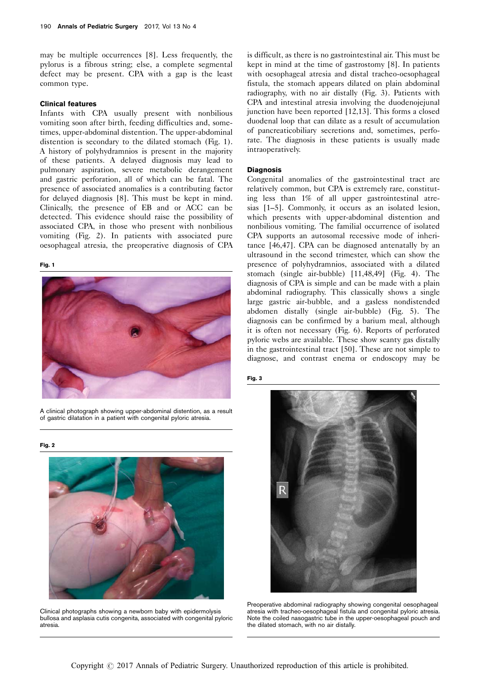may be multiple occurrences [\[8\]](#page-4-0). Less frequently, the pylorus is a fibrous string; else, a complete segmental defect may be present. CPA with a gap is the least common type.

### Clinical features

Infants with CPA usually present with nonbilious vomiting soon after birth, feeding difficulties and, sometimes, upper-abdominal distention. The upper-abdominal distention is secondary to the dilated stomach (Fig. 1). A history of polyhydramnios is present in the majority of these patients. A delayed diagnosis may lead to pulmonary aspiration, severe metabolic derangement and gastric perforation, all of which can be fatal. The presence of associated anomalies is a contributing factor for delayed diagnosis [\[8](#page-4-0)]. This must be kept in mind. Clinically, the presence of EB and or ACC can be detected. This evidence should raise the possibility of associated CPA, in those who present with nonbilious vomiting (Fig. 2). In patients with associated pure oesophageal atresia, the preoperative diagnosis of CPA

#### Fig. 1



A clinical photograph showing upper-abdominal distention, as a result of gastric dilatation in a patient with congenital pyloric atresia.

Fig. 2



Clinical photographs showing a newborn baby with epidermolysis bullosa and asplasia cutis congenita, associated with congenital pyloric atresia.

is difficult, as there is no gastrointestinal air. This must be kept in mind at the time of gastrostomy [\[8\]](#page-4-0). In patients with oesophageal atresia and distal tracheo-oesophageal fistula, the stomach appears dilated on plain abdominal radiography, with no air distally (Fig. 3). Patients with CPA and intestinal atresia involving the duodenojejunal junction have been reported [\[12,13](#page-4-0)]. This forms a closed duodenal loop that can dilate as a result of accumulation of pancreaticobiliary secretions and, sometimes, perforate. The diagnosis in these patients is usually made intraoperatively.

## Diagnosis

Congenital anomalies of the gastrointestinal tract are relatively common, but CPA is extremely rare, constituting less than 1% of all upper gastrointestinal atresias [\[1–5\]](#page-4-0). Commonly, it occurs as an isolated lesion, which presents with upper-abdominal distention and nonbilious vomiting. The familial occurrence of isolated CPA supports an autosomal recessive mode of inheritance [\[46,47\]](#page-5-0). CPA can be diagnosed antenatally by an ultrasound in the second trimester, which can show the presence of polyhydramnios, associated with a dilated stomach (single air-bubble) [\[11,48,49\]](#page-4-0) ([Fig. 4](#page-3-0)). The diagnosis of CPA is simple and can be made with a plain abdominal radiography. This classically shows a single large gastric air-bubble, and a gasless nondistended abdomen distally (single air-bubble) [\(Fig. 5\)](#page-3-0). The diagnosis can be confirmed by a barium meal, although it is often not necessary [\(Fig. 6](#page-3-0)). Reports of perforated pyloric webs are available. These show scanty gas distally in the gastrointestinal tract [\[50\]](#page-5-0). These are not simple to diagnose, and contrast enema or endoscopy may be





Preoperative abdominal radiography showing congenital oesophageal atresia with tracheo-oesophageal fistula and congenital pyloric atresia. Note the coiled nasogastric tube in the upper-oesophageal pouch and the dilated stomach, with no air distally.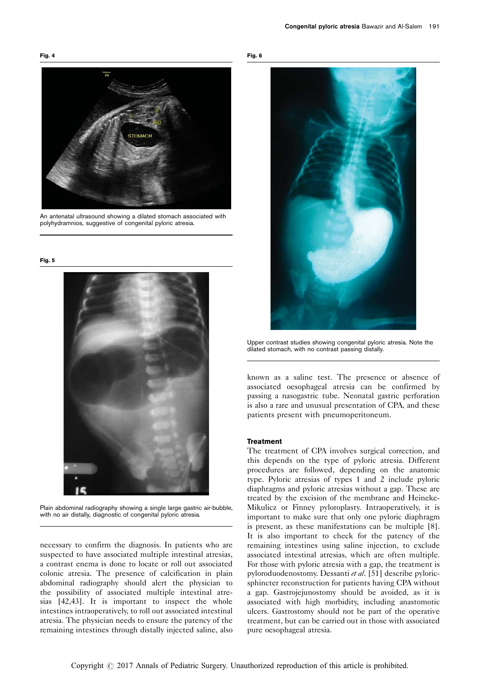<span id="page-3-0"></span>Fig. 4





An antenatal ultrasound showing a dilated stomach associated with polyhydramnios, suggestive of congenital pyloric atresia.

Fig. 5



Plain abdominal radiography showing a single large gastric air-bubble, with no air distally, diagnostic of congenital pyloric atresia.

necessary to confirm the diagnosis. In patients who are suspected to have associated multiple intestinal atresias, a contrast enema is done to locate or roll out associated colonic atresia. The presence of calcification in plain abdominal radiography should alert the physician to the possibility of associated multiple intestinal atresias [\[42,43](#page-5-0)]. It is important to inspect the whole intestines intraoperatively, to roll out associated intestinal atresia. The physician needs to ensure the patency of the remaining intestines through distally injected saline, also

Fig. 6



Upper contrast studies showing congenital pyloric atresia. Note the dilated stomach, with no contrast passing distally.

known as a saline test. The presence or absence of associated oesophageal atresia can be confirmed by passing a nasogastric tube. Neonatal gastric perforation is also a rare and unusual presentation of CPA, and these patients present with pneumoperitoneum.

## **Treatment**

The treatment of CPA involves surgical correction, and this depends on the type of pyloric atresia. Different procedures are followed, depending on the anatomic type. Pyloric atresias of types 1 and 2 include pyloric diaphragms and pyloric atresias without a gap. These are treated by the excision of the membrane and Heineke-Mikulicz or Finney pyloroplasty. Intraoperatively, it is important to make sure that only one pyloric diaphragm is present, as these manifestations can be multiple [\[8](#page-4-0)]. It is also important to check for the patency of the remaining intestines using saline injection, to exclude associated intestinal atresias, which are often multiple. For those with pyloric atresia with a gap, the treatment is pyloroduodenostomy. Dessanti et al. [\[51\]](#page-5-0) describe pyloricsphincter reconstruction for patients having CPA without a gap. Gastrojejunostomy should be avoided, as it is associated with high morbidity, including anastomotic ulcers. Gastrostomy should not be part of the operative treatment, but can be carried out in those with associated pure oesophageal atresia.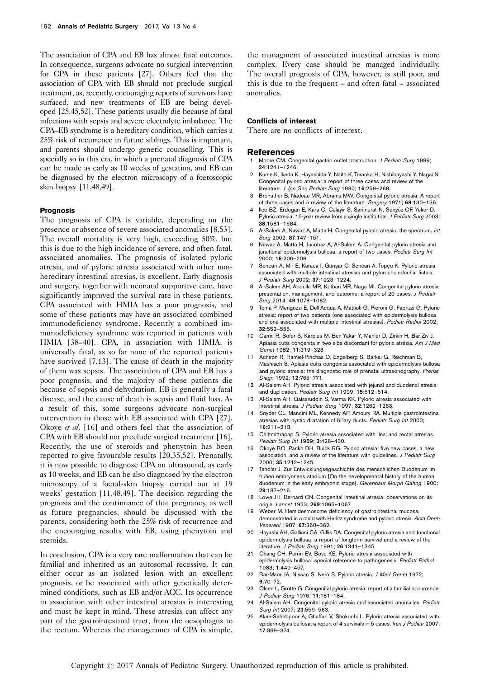<span id="page-4-0"></span>The association of CPA and EB has almost fatal outcomes. In consequence, surgeons advocate no surgical intervention for CPA in these patients [\[27\]](#page-5-0). Others feel that the association of CPA with EB should not preclude surgical treatment, as, recently, encouraging reports of survivors have surfaced, and new treatments of EB are being developed [25,45,52]. These patients usually die because of fatal infections with sepsis and severe electrolyte imbalance. The CPA–EB syndrome is a hereditary condition, which carries a 25% risk of recurrence in future siblings. This is important, and parents should undergo genetic counselling. This is specially so in this era, in which a prenatal diagnosis of CPA can be made as early as 10 weeks of gestation, and EB can be diagnosed by the electron microscopy of a foetoscopic skin biopsy [11,48,49].

## **Prognosis**

The prognosis of CPA is variable, depending on the presence or absence of severe associated anomalies [8,53]. The overall mortality is very high, exceeding 50%, but this is due to the high incidence of severe, and often fatal, associated anomalies. The prognosis of isolated pyloric atresia, and of pyloric atresia associated with other nonhereditary intestinal atresias, is excellent. Early diagnosis and surgery, together with neonatal supportive care, have significantly improved the survival rate in these patients. CPA associated with HMIA has a poor prognosis, and some of these patients may have an associated combined immunodeficiency syndrome. Recently a combined immunodeficiency syndrome was reported in patients with HMIA [\[38–40\]](#page-5-0). CPA, in association with HMIA, is universally fatal, as so far none of the reported patients have survived [7,13]. The cause of death in the majority of them was sepsis. The association of CPA and EB has a poor prognosis, and the majority of these patients die because of sepsis and dehydration. EB is generally a fatal disease, and the cause of death is sepsis and fluid loss. As a result of this, some surgeons advocate non-surgical intervention in those with EB associated with CPA [\[27](#page-5-0)]. Okoye et al. [16] and others feel that the association of CPA with EB should not preclude surgical treatment [16]. Recently, the use of steroids and phenytoin has been reported to give favourable results [20,35,52]. Prenatally, it is now possible to diagnose CPA on ultrasound, as early as 10 weeks, and EB can be also diagnosed by the electron microscopy of a foetal-skin biopsy, carried out at 19 weeks' gestation [11,48,49]. The decision regarding the prognosis and the continuance of that pregnancy, as well as future pregnancies, should be discussed with the parents, considering both the 25% risk of recurrence and the encouraging results with EB, using phenytoin and steroids.

In conclusion, CPA is a very rare malformation that can be familial and inherited as an autosomal recessive. It can either occur as an isolated lesion with an excellent prognosis, or be associated with other genetically determined conditions, such as EB and/or ACC. Its occurrence in association with other intestinal atresias is interesting and must be kept in mind. These atresias can affect any part of the gastrointestinal tract, from the oesophagus to the rectum. Whereas the managemnet of CPA is simple,

the managment of associated intestinal atresias is more complex. Every case should be managed individually. The overall prognosis of CPA, however, is still poor, and this is due to the frequent – and often fatal – associated anomalies.

#### Conflicts of interest

There are no conflicts of interest.

#### References

- Moore CM. Congenital gastric outlet obstruction. J Pediatr Surg 1989; 24:1241–1246.
- 2 Kume K, Ikeda K, Hayashida Y, Naito K, Teraoka H, Nishibayashi Y, Nagai N. Congenital pyloric atresia: a report of three cases and review of the literature. J Jpn Soc Pediatr Surg 1980; 16:259-268.
- 3 Bronsther B, Nadeau MR, Abrams MW. Congenital pyloric atresia. A report of three cases and a review of the literature. Surgery 1971; 69:130–136.
- 4 Ilce BZ, Erdogan E, Kara C, Celayir S, Sarimurat N, Senyüz OF, Yeker D. Pyloric atresia: 15-year review from a single institution. J Pediatr Surg 2003; 38:1581–1584.
- Al-Salem A, Nawaz A, Matta H. Congenital pyloric atresia: the spectrum. Int Surg 2002; 87:147–151.
- 6 Nawaz A, Matta H, Jacobsz A, Al-Salem A. Congenital pyloric atresia and junctional epidermolysis bullosa: a report of two cases. Pediatr Surg Int 2000; 16:206–208.
- Sencan A, Mir E, Karaca I, Günşar C, Sencan A, Topçu K. Pyloric atresia associated with multiple intestinal atresias and pylorocholedochal fistula. J Pediatr Surg 2002; 37:1223–1224.
- 8 Al-Salem AH, Abdulla MR, Kothari MR, Naga MI. Congenital pyloric atresia, presentation, management, and outcome: a report of 20 cases. J Pediatr Surg 2014; 49:1078–1082.
- 9 Tomá P, Mengozzi E, Dell'Acqua A, Mattioli G, Pieroni G, Fabrizzi G. Pyloric atresia: report of two patients (one associated with epidermolysis bullosa and one associated with multiple intestinal atresias). Pediatr Radiol 2002; 32:552–555.
- 10 Carmi R, Sofer S, Karplus M, Ben-Yakar Y, Mahler D, Zirkin H, Bar-Ziv J. Aplasia cutis congenita in two sibs discordant for pyloric atresia. Am J Med Genet 1982; 11:319–328.
- 11 Achiron R, Hamiel-Pinchas O, Engelberg S, Barkai G, Reichman B, Mashiach S. Aplasia cutis congenita associated with epidermolysis bullosa and pyloric atresia: the diagnostic role of prenatal ultrasonography. Prenat Diagn 1992; 12:765–771.
- 12 Al-Salem AH. Pyloric atresia associated with jejunal and duodenal atresia and duplication. Pediatr Surg Int 1999; 15:512–514.
- 13 Al-Salem AH, Qaissruddin S, Varma KK. Pyloric atresia associated with intestinal atresia. J Pediatr Surg 1997; 32:1262-1263.
- 14 Snyder CL, Mancini ML, Kennedy AP, Amoury RA. Multiple gastrointestinal atresias with cystic dilatation of biliary ducts. Pediatr Surg Int 2000; 16:211–213.
- 15 Chittmittrapap S. Pyloric atresia associated with ileal and rectal atresias. Pediatr Surg Int 1989; 3:426–430.
- 16 Okoye BO, Parikh DH, Buick RG. Pyloric atresia: five new cases, a new association, and a review of the literature with quidelines. J Pediatr Surg 2000; 35:1242–1245.
- 17 Tandler J. Zur Entwicklungsegeschichte des menschlichen Duodenum im fruhen embryonens stadium [On the developmental history of the human duodenum in the early embryonic stage]. Gerenbaur Morph Gahng 1900; 29:187–216.
- 18 Lowe JH, Bernard CN. Congenital intestinal atresia: observations on its origin. Lancet 1953; 269:1065–1067.
- 19 Weber M. Hemidesmosome deficiency of gastrointestinal mucosa, demonstrated in a child with Herlitz syndrome and pyloric atresia. Acta Derm Venereol 1987; 67:360–362.
- 20 Hayashi AH, Galliani CA, Gillis DA. Congenital pyloric atresia and Junctional epidermolysis bullosa: a report of longterm survival and a review of the literature. J Pediatr Surg 1991; 26:1341–1345.
- 21 Chang CH, Perrin EV, Bove KE. Pyloric atresia associated with epidermolysis bullosa: special reference to pathogenesis. Pediatr Pathol 1983; 1:449–457.
- 22 Bar-Maor JA, Nissan S, Nero S, Pyloric atresia. J Med Genet 1972:  $9.70 - 72.$
- 23 Olsen L, Grotte G. Congenital pyloric atresia: report of a familial occurrence. J Pediatr Surg 1976; 11:181–184.
- 24 Al-Salem AH. Congenital pyloric atresia and associated anomalies. Pediatr Surg Int 2007; 23:559–563.
- 25 Alam-Sahebpoor A, Ghaffari V, Shokoohi L. Pyloric atresia associated with epidermolysis bullosa: a report of 4 survivals in 5 cases. Iran J Pediatr 2007; 17:369–374.